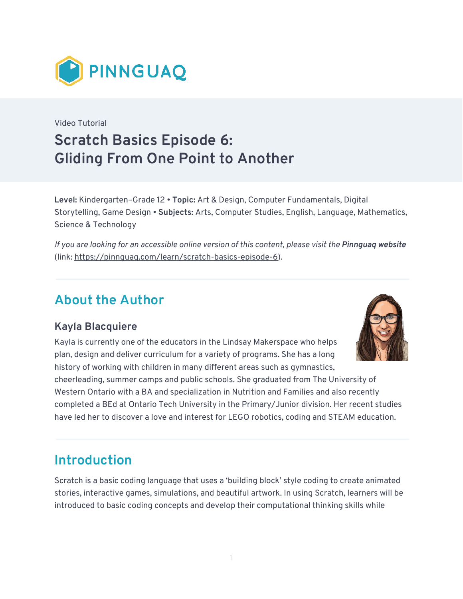

## Video Tutorial **Scratch Basics Episode 6: Gliding From One Point to Another**

**Level:** Kindergarten–Grade 12 • **Topic:** Art & Design, Computer Fundamentals, Digital Storytelling, Game Design • **Subjects:** Arts, Computer Studies, English, Language, Mathematics, Science & Technology

*If you are looking for an accessible online version of this content, please visit the Pinnguaq website* (link: [https://pinnguaq.com/learn/scratch-basics-episode-6\)](https://pinnguaq.com/learn/scratch-basics-episode-6).

## **About the Author**

### **Kayla Blacquiere**

Kayla is currently one of the educators in the Lindsay Makerspace who helps plan, design and deliver curriculum for a variety of programs. She has a long history of working with children in many different areas such as gymnastics,



cheerleading, summer camps and public schools. She graduated from The University of Western Ontario with a BA and specialization in Nutrition and Families and also recently completed a BEd at Ontario Tech University in the Primary/Junior division. Her recent studies have led her to discover a love and interest for LEGO robotics, coding and STEAM education.

## **Introduction**

Scratch is a basic coding language that uses a 'building block' style coding to create animated stories, interactive games, simulations, and beautiful artwork. In using Scratch, learners will be introduced to basic coding concepts and develop their computational thinking skills while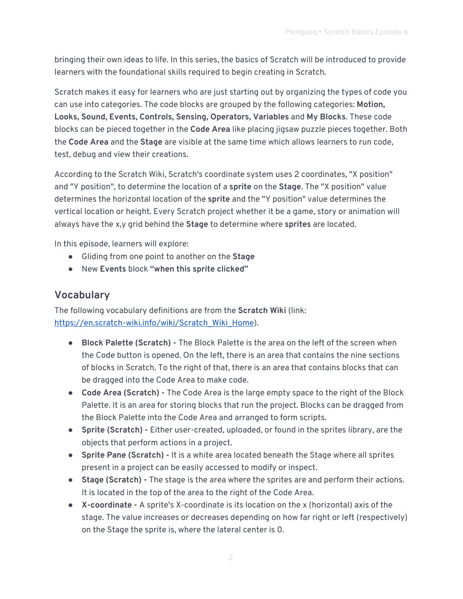bringing their own ideas to life. In this series, the basics of Scratch will be introduced to provide learners with the foundational skills required to begin creating in Scratch.

Scratch makes it easy for learners who are just starting out by organizing the types of code you can use into categories. The code blocks are grouped by the following categories: **Motion, Looks, Sound, Events, Controls, Sensing, Operators, Variables** and **My Blocks**. These code blocks can be pieced together in the **Code Area** like placing jigsaw puzzle pieces together. Both the **Code Area** and the **Stage** are visible at the same time which allows learners to run code, test, debug and view their creations.

According to the Scratch Wiki, Scratch's coordinate system uses 2 coordinates, "X position" and "Y position", to determine the location of a **sprite** on the **Stage**. The "X position" value determines the horizontal location of the **sprite** and the "Y position" value determines the vertical location or height. Every Scratch project whether it be a game, story or animation will always have the x,y grid behind the **Stage** to determine where **sprites** are located.

In this episode, learners will explore:

- Gliding from one point to another on the **Stage**
- New **Events** block **"when this sprite clicked"**

### **Vocabulary**

The following vocabulary definitions are from the **Scratch Wiki** (link: [https://en.scratch-wiki.info/wiki/Scratch\\_Wiki\\_Home](https://en.scratch-wiki.info/wiki/Scratch_Wiki_Home)).

- **Block Palette (Scratch)** The Block Palette is the area on the left of the screen when the Code button is opened. On the left, there is an area that contains the nine sections of blocks in Scratch. To the right of that, there is an area that contains blocks that can be dragged into the Code Area to make code.
- **Code Area (Scratch)** The Code Area is the large empty space to the right of the Block Palette. It is an area for storing blocks that run the project. Blocks can be dragged from the Block Palette into the Code Area and arranged to form scripts.
- **Sprite (Scratch) -** Either user-created, uploaded, or found in the sprites library, are the objects that perform actions in a project.
- **Sprite Pane (Scratch) -** It is a white area located beneath the Stage where all sprites present in a project can be easily accessed to modify or inspect.
- **Stage (Scratch) -** The stage is the area where the sprites are and perform their actions. It is located in the top of the area to the right of the Code Area.
- **X-coordinate -** A sprite's X-coordinate is its location on the x (horizontal) axis of the stage. The value increases or decreases depending on how far right or left (respectively) on the Stage the sprite is, where the lateral center is 0.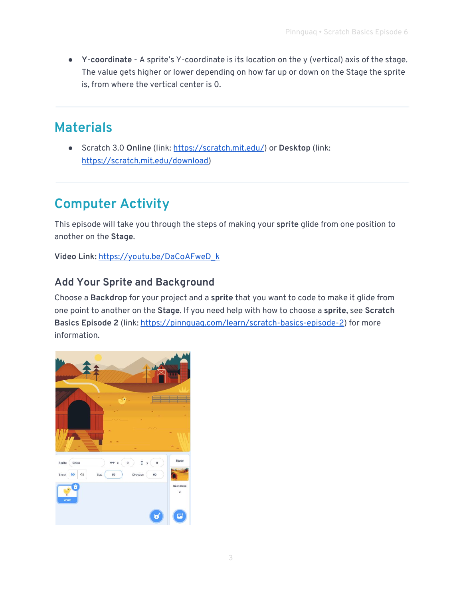● **Y-coordinate -** A sprite's Y-coordinate is its location on the y (vertical) axis of the stage. The value gets higher or lower depending on how far up or down on the Stage the sprite is, from where the vertical center is 0.

## **Materials**

● Scratch 3.0 **Online** (link: [https://scratch.mit.edu/\)](https://scratch.mit.edu/) or **Desktop** (link: [https://scratch.mit.edu/download\)](https://scratch.mit.edu/download)

# **Computer Activity**

This episode will take you through the steps of making your **sprite** glide from one position to another on the **Stage**.

**Video Link:** [https://youtu.be/DaCoAFweD\\_k](https://youtu.be/DaCoAFweD_k)

### **Add Your Sprite and Background**

Choose a **Backdrop** for your project and a **sprite** that you want to code to make it glide from one point to another on the **Stage**. If you need help with how to choose a **sprite**, see **Scratch Basics Episode 2** (link:<https://pinnguaq.com/learn/scratch-basics-episode-2>) for more information.

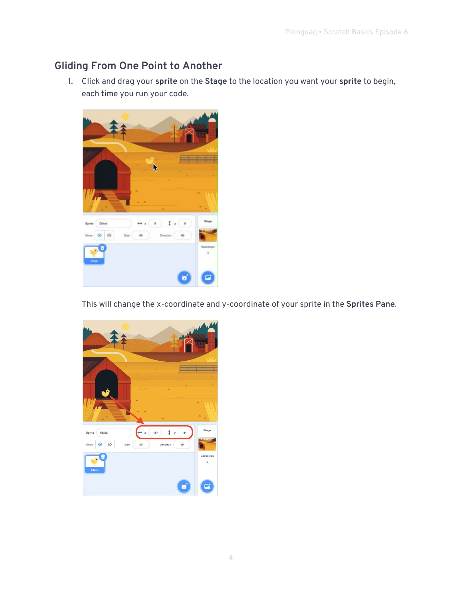#### **Gliding From One Point to Another**

1. Click and drag your **sprite** on the **Stage** to the location you want your **sprite** to begin, each time you run your code.



This will change the x-coordinate and y-coordinate of your sprite in the **Sprites Pane**.

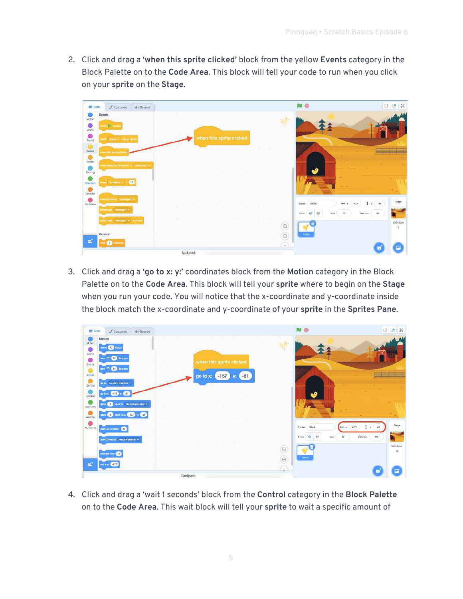2. Click and drag a **'when this sprite clicked'** block from the yellow **Events** category in the Block Palette on to the **Code Area**. This block will tell your code to run when you click on your **sprite** on the **Stage**.

| <b>SET Code</b>               | Costumes                                    | de Sounds |                |          |      |                                                                                                         |        |   |              |        |                                    |                                                                                                     |                        | <b>OB</b>   |
|-------------------------------|---------------------------------------------|-----------|----------------|----------|------|---------------------------------------------------------------------------------------------------------|--------|---|--------------|--------|------------------------------------|-----------------------------------------------------------------------------------------------------|------------------------|-------------|
| Motion                        | Events                                      |           | $\sim$         |          |      |                                                                                                         |        | × |              | ×      | m<br><b>D</b>                      |                                                                                                     |                        |             |
| 0<br>Locks                    | stem <b>12 strocks</b>                      |           |                |          |      | <b>SECURITY</b>                                                                                         | $\sim$ |   |              | ×      | bш                                 |                                                                                                     |                        |             |
| ۰<br>Sound                    | when space + Re-present                     |           |                |          |      | when this sprite clicked                                                                                |        |   | $-10<$       | -      | œ                                  |                                                                                                     |                        |             |
| $\bullet$<br>Events           | eters this apitte clusu                     |           |                |          |      | $\frac{1}{2}$ and $\frac{1}{2}$ and $\frac{1}{2}$ and $\frac{1}{2}$ and $\frac{1}{2}$ and $\frac{1}{2}$ |        |   | <b>COLL</b>  | ×      | -                                  |                                                                                                     |                        |             |
| $\bullet$<br>Cantrol          |                                             |           |                |          |      | ×                                                                                                       |        | x |              |        | n e                                |                                                                                                     |                        |             |
| Ò<br>Sensing                  | * Femalositi (it ascidive goritoriast mini- |           | <b>BO</b>      |          | - 10 | $\sim$                                                                                                  | - 10   |   |              |        | n an                               |                                                                                                     |                        |             |
| Cpe ators                     | men comment -                               | $-1.10$   |                |          |      |                                                                                                         | ×      | × | . .          | ×      | -                                  | ۰<br>$\frac{1}{2} \left( \frac{1}{2} \right) \left( \frac{1}{2} \right) \left( \frac{1}{2} \right)$ |                        |             |
| $\bullet$<br><b>Variables</b> |                                             |           |                |          |      |                                                                                                         | œ      |   | $\sim$       | - Cali |                                    |                                                                                                     | ÷                      | $\clubsuit$ |
| My Blocks                     | etern I mission - measural ! -              |           | <b>Section</b> |          |      |                                                                                                         |        |   | <b>START</b> | - 10   | - 53                               | $-157$<br>$*** x$<br>Sprite:<br>Chick                                                               | $I y \rightarrow$      | Stage       |
|                               | timbercast measured                         |           |                |          |      |                                                                                                         |        |   |              |        |                                    | $\circ$<br>$\circ$<br><b>Show</b><br>50<br><b>Size</b>                                              | 00<br><b>L'inclier</b> |             |
|                               | broadcast messaget = and wa                 |           | $\sim$         |          |      |                                                                                                         |        |   |              |        | $\Theta$                           |                                                                                                     |                        | Backdrops   |
|                               | Control                                     |           | -              |          |      |                                                                                                         |        |   |              |        | $\sim$                             | Chick                                                                                               |                        | $-3$        |
|                               | 1613<br>mond                                |           | $-100$         |          |      |                                                                                                         | -      | - | $\sim$       | ÷      | $^{\circ}$<br><b>Contract</b><br>Œ |                                                                                                     |                        |             |
|                               |                                             |           |                | Backpack |      |                                                                                                         |        |   |              |        |                                    |                                                                                                     |                        |             |

3. Click and drag a **'go to x: y:'** coordinates block from the **Motion** category in the Block Palette on to the **Code Area**. This block will tell your **sprite** where to begin on the **Stage** when you run your code. You will notice that the x-coordinate and y-coordinate inside the block match the x-coordinate and y-coordinate of your **sprite** in the **Sprites Pane**.

| <b>LET</b> Code       | Costumes                         | <sub>n</sub> o Sounds     |            |        |          |          |        |                          |       |                |            |                           | <b>Bar</b>                                     | 口<br><b>For</b> | $\approx$ |
|-----------------------|----------------------------------|---------------------------|------------|--------|----------|----------|--------|--------------------------|-------|----------------|------------|---------------------------|------------------------------------------------|-----------------|-----------|
| Motion                | Motion                           |                           | ×          |        |          |          |        |                          |       | - 10           |            | <b>CONTRACTOR</b><br>in a |                                                |                 |           |
| $\bullet$<br>Lopks    | move 10 steps                    |                           | $\sim$     |        |          |          | - 10   |                          |       |                |            | π                         |                                                |                 |           |
| 0<br>Sound            | turn C <sup>*</sup> (15) degrees |                           | -          | $\sim$ | - 60     |          |        | when this sprite clicked |       | - 10           |            |                           |                                                |                 |           |
| ۵<br>Events           | turn <sup>a</sup> ) (16) degmee  |                           |            |        |          | go to x: | $-157$ | V.                       | $-81$ |                |            |                           |                                                |                 |           |
| ۰<br>Control          | go to random position =          |                           |            |        |          |          |        |                          |       |                |            |                           |                                                |                 |           |
| Gensing               | po to x: (-157) y:<br>$-81$      |                           | <b>ALC</b> |        |          |          |        |                          |       |                |            | ×                         |                                                |                 |           |
| o<br><b>Operators</b> | $1^{\circ}$                      | secs to random position » | $\sim$     |        |          |          |        |                          |       |                |            | <b>TELEVISION</b>         | ۰                                              |                 |           |
| Variables             | $(1)$ sees to $x: [417]$ y.      | $-81$                     |            |        |          |          |        |                          |       |                |            |                           |                                                |                 |           |
| 6<br>My Blocks        | point in direction (90)          |                           |            |        |          |          |        |                          |       |                |            | -                         | $-157$<br>Sprits<br>Chick<br>$+ + x$           | $-81$<br>U.     | Stage     |
|                       | point towards mouse-pointer.     |                           |            |        |          |          |        |                          |       |                | <b>TEM</b> | $-10.3$                   | $\varnothing$<br>$\odot$<br>Show<br>50<br>Bion | 90<br>Direction |           |
|                       |                                  |                           | $\sim$     |        |          |          | - 10   |                          |       | <b>COLLECT</b> | $\sim$     | 16.7                      | Ē<br>a.                                        |                 | Baskdops  |
|                       | charge x by 10                   |                           |            |        |          |          |        |                          |       | 189            | 10         | $^{\circ}$<br>$\odot$     | <b>Chick</b>                                   |                 | $-31$     |
| $\blacksquare$        | $mt \times 10$ $-157$            |                           |            |        |          |          |        |                          |       |                | - 197      | $\equiv$                  |                                                |                 |           |
|                       |                                  |                           |            |        | Backpack |          |        |                          |       |                |            |                           |                                                | 岗               |           |

4. Click and drag a 'wait 1 seconds' block from the **Control** category in the **Block Palette** on to the **Code Area**. This wait block will tell your **sprite** to wait a specific amount of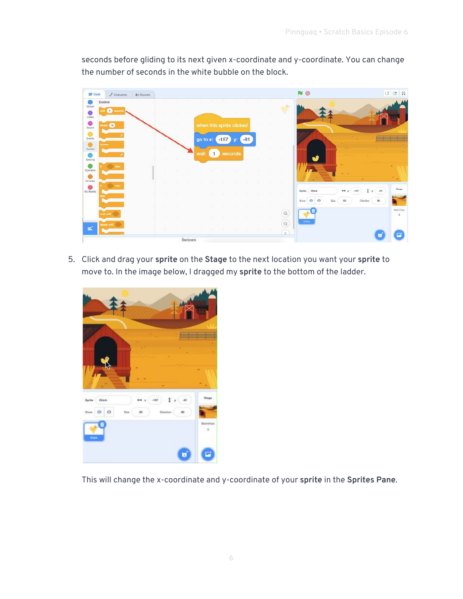seconds before gliding to its next given x-coordinate and y-coordinate. You can change the number of seconds in the white bubble on the block.



5. Click and drag your **sprite** on the **Stage** to the next location you want your **sprite** to move to. In the image below, I dragged my **sprite** to the bottom of the ladder.



This will change the x-coordinate and y-coordinate of your **sprite** in the **Sprites Pane**.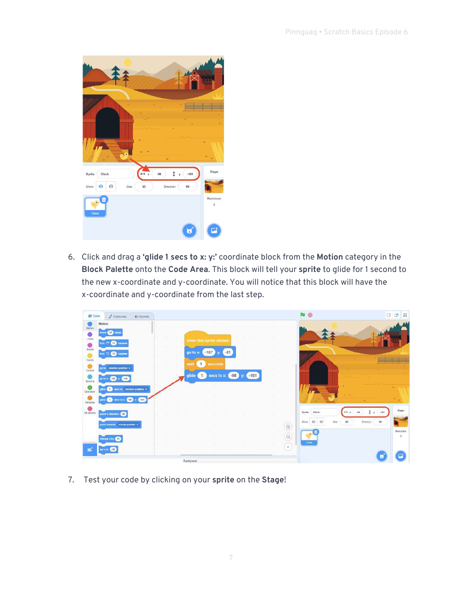

6. Click and drag a **'glide 1 secs to x: y:'** coordinate block from the **Motion** category in the **Block Palette** onto the **Code Area**. This block will tell your **sprite** to glide for 1 second to the new x-coordinate and y-coordinate. You will notice that this block will have the x-coordinate and y-coordinate from the last step.

| <b>Code</b>   | $\mathscr{L}$ Costumas         | <b>电 Sounds</b>           |  |              |                         |            |       |       |        |  |                 |                              | $\square$       | $\frac{55}{25}$<br>œ |
|---------------|--------------------------------|---------------------------|--|--------------|-------------------------|------------|-------|-------|--------|--|-----------------|------------------------------|-----------------|----------------------|
| Motion        | Motion<br>more 10 steps        |                           |  |              |                         |            |       |       |        |  |                 |                              |                 |                      |
| Looks         |                                |                           |  |              | when this sprite dicked |            |       |       |        |  |                 |                              |                 |                      |
| $\frac{1}{3}$ | tum C <sup>*</sup> 615 degrees |                           |  |              |                         |            |       |       |        |  |                 |                              |                 |                      |
| Events        | tum つ 65 degram                |                           |  | go to x:     |                         | $-157$     | $-81$ |       |        |  |                 |                              |                 |                      |
| Control       | go to random position .        |                           |  | wait         | 1                       | seconds    |       |       |        |  |                 |                              |                 |                      |
| Sensing       | -98<br>-161<br>go to x         |                           |  | glide        | $\mathbf{1}$            | secs to x: |       | $-98$ | $-161$ |  |                 |                              |                 |                      |
| Operators     | $\mathcal{L}$                  | sees to random position = |  |              |                         |            |       |       |        |  |                 | $m = m$                      |                 |                      |
| Variables     | gilde 1 secs to x: 238 y: 361  |                           |  |              |                         |            |       |       |        |  |                 |                              |                 |                      |
| My Blocks     | point in direction <b>60</b>   |                           |  |              |                         |            |       |       |        |  | . .             | <b>Ohick</b><br>Sprits       | $-181$          | <b>Bluge</b>         |
|               | point towards mouse-pointer *  |                           |  |              |                         |            |       |       |        |  | $^{\copyright}$ | ø<br>$\odot$<br>Show<br>Size | Direction<br>90 |                      |
|               | change x by \$10               |                           |  |              |                         |            |       |       |        |  | $\circledcirc$  | 國<br>s.                      |                 | Backdropp<br>L.      |
|               | -58<br>wit x 40                |                           |  |              |                         |            |       |       |        |  | $\equiv$        | Chick                        |                 |                      |
|               |                                |                           |  | Disabinately |                         |            |       |       |        |  |                 |                              |                 |                      |

7. Test your code by clicking on your **sprite** on the **Stage**!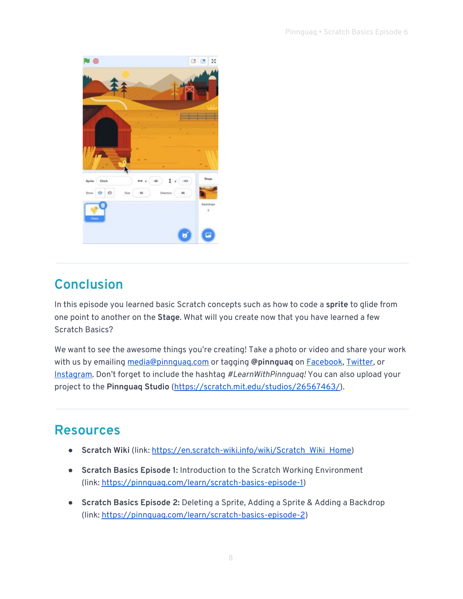

## **Conclusion**

In this episode you learned basic Scratch concepts such as how to code a **sprite** to glide from one point to another on the **Stage**. What will you create now that you have learned a few Scratch Basics?

We want to see the awesome things you're creating! Take a photo or video and share your work with us by emailing [media@pinnguaq.com](mailto:media@pinnguaq.com) or tagging **@pinnguaq** on [Facebook](https://www.facebook.com/Pinnguaq/), [Twitter,](https://twitter.com/pinnguaq) or [Instagram.](https://www.instagram.com/pinnguaq/) Don't forget to include the hashtag *#LearnWithPinnguaq!* You can also upload your project to the **Pinnguaq Studio** [\(https://scratch.mit.edu/studios/26567463/\)](https://scratch.mit.edu/studios/26567463/).

### **Resources**

- **Scratch Wiki** (link: [https://en.scratch-wiki.info/wiki/Scratch\\_Wiki\\_Home\)](https://en.scratch-wiki.info/wiki/Scratch_Wiki_Home)
- **Scratch Basics Episode 1:** Introduction to the Scratch Working Environment (link:<https://pinnguaq.com/learn/scratch-basics-episode-1>)
- **Scratch Basics Episode 2:** Deleting a Sprite, Adding a Sprite & Adding a Backdrop (link: [https://pinnguaq.com/learn/scratch-basics-episode-2\)](https://pinnguaq.com/learn/scratch-basics-episode-2)